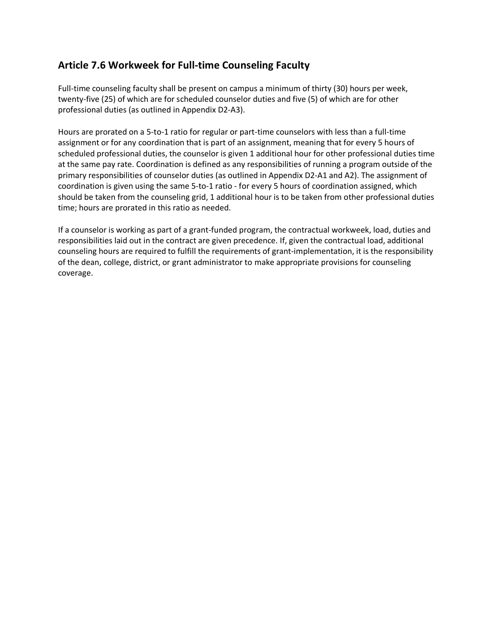## **Article 7.6 Workweek for Full-time Counseling Faculty**

Full-time counseling faculty shall be present on campus a minimum of thirty (30) hours per week, twenty-five (25) of which are for scheduled counselor duties and five (5) of which are for other professional duties (as outlined in Appendix D2-A3).

Hours are prorated on a 5-to-1 ratio for regular or part-time counselors with less than a full-time assignment or for any coordination that is part of an assignment, meaning that for every 5 hours of scheduled professional duties, the counselor is given 1 additional hour for other professional duties time at the same pay rate. Coordination is defined as any responsibilities of running a program outside of the primary responsibilities of counselor duties (as outlined in Appendix D2-A1 and A2). The assignment of coordination is given using the same 5-to-1 ratio - for every 5 hours of coordination assigned, which should be taken from the counseling grid, 1 additional hour is to be taken from other professional duties time; hours are prorated in this ratio as needed.

If a counselor is working as part of a grant-funded program, the contractual workweek, load, duties and responsibilities laid out in the contract are given precedence. If, given the contractual load, additional counseling hours are required to fulfill the requirements of grant-implementation, it is the responsibility of the dean, college, district, or grant administrator to make appropriate provisions for counseling coverage.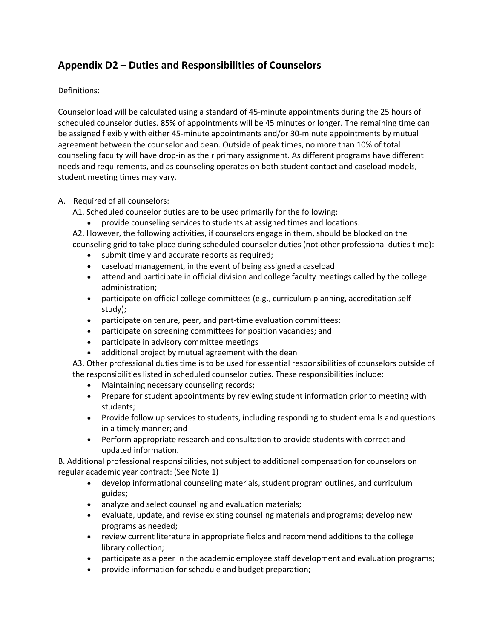## **Appendix D2 – Duties and Responsibilities of Counselors**

Definitions:

Counselor load will be calculated using a standard of 45-minute appointments during the 25 hours of scheduled counselor duties. 85% of appointments will be 45 minutes or longer. The remaining time can be assigned flexibly with either 45-minute appointments and/or 30-minute appointments by mutual agreement between the counselor and dean. Outside of peak times, no more than 10% of total counseling faculty will have drop-in as their primary assignment. As different programs have different needs and requirements, and as counseling operates on both student contact and caseload models, student meeting times may vary.

## A. Required of all counselors:

A1. Scheduled counselor duties are to be used primarily for the following:

• provide counseling services to students at assigned times and locations.

A2. However, the following activities, if counselors engage in them, should be blocked on the counseling grid to take place during scheduled counselor duties (not other professional duties time):

- submit timely and accurate reports as required;
- caseload management, in the event of being assigned a caseload
- attend and participate in official division and college faculty meetings called by the college administration;
- participate on official college committees (e.g., curriculum planning, accreditation selfstudy);
- participate on tenure, peer, and part-time evaluation committees;
- participate on screening committees for position vacancies; and
- participate in advisory committee meetings
- additional project by mutual agreement with the dean

A3. Other professional duties time is to be used for essential responsibilities of counselors outside of the responsibilities listed in scheduled counselor duties. These responsibilities include:

- Maintaining necessary counseling records;
- Prepare for student appointments by reviewing student information prior to meeting with students;
- Provide follow up services to students, including responding to student emails and questions in a timely manner; and
- Perform appropriate research and consultation to provide students with correct and updated information.

B. Additional professional responsibilities, not subject to additional compensation for counselors on regular academic year contract: (See Note 1)

- develop informational counseling materials, student program outlines, and curriculum guides;
- analyze and select counseling and evaluation materials;
- evaluate, update, and revise existing counseling materials and programs; develop new programs as needed;
- review current literature in appropriate fields and recommend additions to the college library collection;
- participate as a peer in the academic employee staff development and evaluation programs;
- provide information for schedule and budget preparation;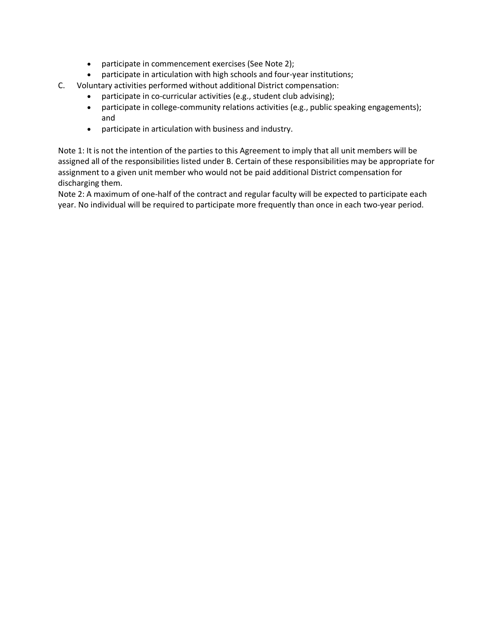- participate in commencement exercises (See Note 2);
- participate in articulation with high schools and four-year institutions;
- C. Voluntary activities performed without additional District compensation:
	- participate in co-curricular activities (e.g., student club advising);
	- participate in college-community relations activities (e.g., public speaking engagements); and
	- participate in articulation with business and industry.

Note 1: It is not the intention of the parties to this Agreement to imply that all unit members will be assigned all of the responsibilities listed under B. Certain of these responsibilities may be appropriate for assignment to a given unit member who would not be paid additional District compensation for discharging them.

Note 2: A maximum of one-half of the contract and regular faculty will be expected to participate each year. No individual will be required to participate more frequently than once in each two-year period.